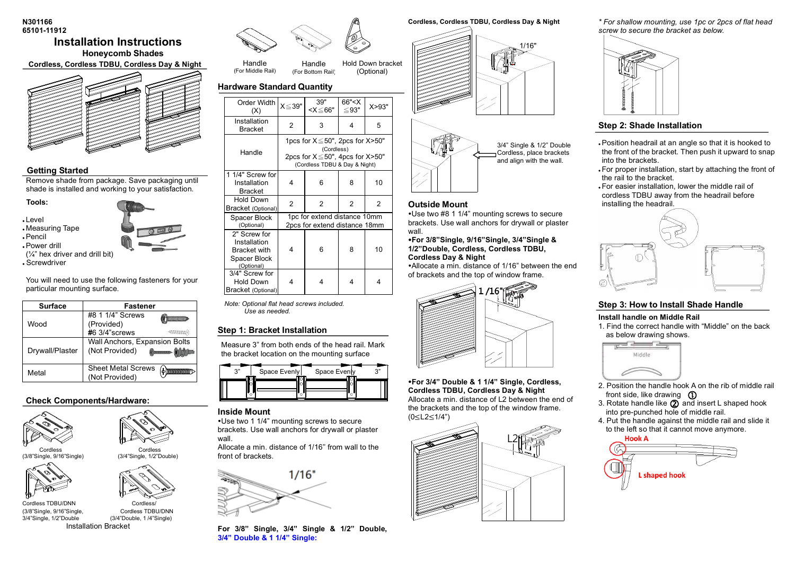#### **N301166 65101-11912**

## **Installation Instructions Honeycomb Shades**

**Cordless**,**Cordless TDBU, Cordless Day & Night**



## **Getting Started**

Remove shade from package. Save packaging until shade is installed and working to your satisfaction.

**Tools:**

- <sup>l</sup> Level
- <sup>l</sup> Measuring Tape

<sup>l</sup> Pencil

<sup>l</sup> Power drill

(¼" hex driver and drill bit)

<sup>l</sup> Screwdriver

You will need to use the following fasteners for your particular mounting surface.

| <b>Surface</b>  | <b>Fastener</b>                                 |                    |
|-----------------|-------------------------------------------------|--------------------|
| Wood            | #8 1 1/4" Screws<br>(Provided)                  |                    |
|                 | #6 3/4"screws                                   | <b>Allithur</b> s  |
| Drywall/Plaster | Wall Anchors, Expansion Bolts<br>(Not Provided) | <b>MORTLERKSHI</b> |
| Metal           | <b>Sheet Metal Screws</b><br>(Not Provided)     |                    |

## **Check Components/Hardware:**







(3/8"Single, 9/16"Single<br>3/4"Single, 1/2"Double



(3/4"Single, 1/2"Double)

Installation Bracket



Handle (For Bottom Rail) Hold Down bracket (Optional)

## **Hardware Standard Quantity**

Handle (For Middle Rail)

| Order Width<br>(X)                                                         | $X \le 39"$                                                                                                                               | 39"<br><x≤66"< th=""><th>66"<x<br>≤93"</x<br></th><th>X &gt; 93"</th></x≤66"<> | 66" <x<br>≤93"</x<br> | X > 93" |
|----------------------------------------------------------------------------|-------------------------------------------------------------------------------------------------------------------------------------------|--------------------------------------------------------------------------------|-----------------------|---------|
| Installation<br><b>Bracket</b>                                             | $\overline{2}$                                                                                                                            | 3                                                                              | 4                     | 5       |
| Handle                                                                     | 1pcs for $X \leq 50$ ", 2pcs for $X > 50$ "<br>(Cordless)<br>2pcs for $X \leq 50$ ", 4pcs for $X > 50$ "<br>(Cordless TDBU & Day & Night) |                                                                                |                       |         |
| 1 1/4" Screw for<br>Installation<br><b>Bracket</b>                         | 4                                                                                                                                         | 6                                                                              | 8                     | 10      |
| <b>Hold Down</b><br>Bracket (Optional)                                     | $\overline{2}$                                                                                                                            | 2                                                                              | 2                     | 2       |
| Spacer Block<br>(Optional)                                                 |                                                                                                                                           | 1pc for extend distance 10mm<br>2pcs for extend distance 18mm                  |                       |         |
| 2" Screw for<br>Installation<br>Bracket with<br>Spacer Block<br>(Optional) | 4                                                                                                                                         | 6                                                                              | 8                     | 10      |
| 3/4" Screw for<br>Hold Down<br>Bracket (Optional)                          | 4                                                                                                                                         | 4                                                                              | 4                     | 4       |

*Note: Optional flat head screws included. Use as needed.*

## **Step 1: Bracket Installation**

Measure 3" from both ends of the head rail. Mark the bracket location on the mounting surface

| $\sim$ | Space Evenly | Space Evenly | $\sim$ |
|--------|--------------|--------------|--------|
|        |              |              |        |

### **Inside Mount**

Use two 1 1/4" mounting screws to secure brackets. Use wall anchors for drywall or plaster wall.

Allocate a min. distance of 1/16'' from wall to the front of brackets.



**For 3/8" Single, 3/4" Single & 1/2" Double, 3/4" Double & 1 1/4" Single:**

**Cordless, Cordless TDBU, Cordless Day & Night**



3/4" Single & 1/2" Double Cordless, place brackets and align with the wall.

**Outside Mount** Use two #8 1 1/4" mounting screws to secure brackets. Use wall anchors for drywall or plaster wall.

#### **For 3/8"Single, 9/16"Single, 3/4"Single & 1/2"Double, Cordless, Cordless TDBU, Cordless Day & Night**

Allocate a min. distance of 1/16" between the end of brackets and the top of window frame.



**For 3/4" Double & 1 1/4" Single, Cordless, Cordless TDBU, Cordless Day & Night**  Allocate a min. distance of L2 between the end of the brackets and the top of the window frame.

(0≤L2≤1/4")



*\* For shallow mounting, use 1pc or 2pcs of flat head screw to secure the bracket as below.* 



## **Step 2: Shade Installation**

- . Position headrail at an angle so that it is hooked to the front of the bracket. Then push it upward to snap into the brackets.
- . For proper installation, start by attaching the front of the rail to the bracket.
- . For easier installation, lower the middle rail of cordless TDBU away from the headrail before installing the headrail.



## **Step 3: How to Install Shade Handle**

#### **Install handle on Middle Rail**

1. Find the correct handle with "Middle" on the back as below drawing shows.



- 2. Position the handle hook A on the rib of middle rail
- front side, like drawing (D)<br>Rotate handle like (2) and 3. Rotate handle like  $(2)$  and insert L shaped hook into pre-punched hole of middle rail.
- 4. Put the handle against the middle rail and slide it to the left so that it cannot move anymore.